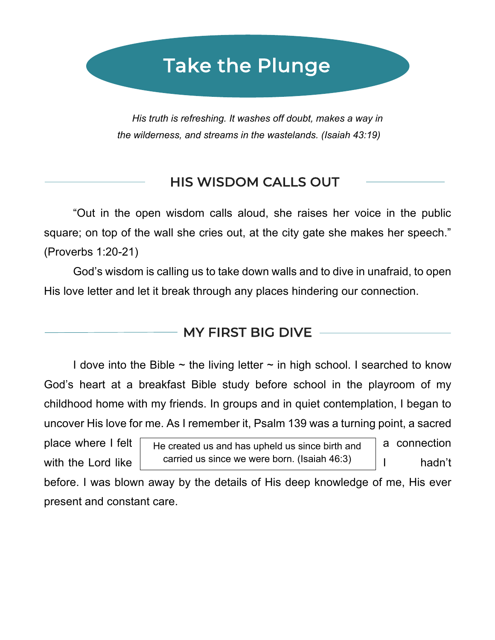# Take the Plunge

*His truth is refreshing. It washes off doubt, makes a way in the wilderness, and streams in the wastelands. (Isaiah 43:19)*

# HIS WISDOM CALLS OUT

"Out in the open wisdom calls aloud, she raises her voice in the public square; on top of the wall she cries out, at the city gate she makes her speech." (Proverbs 1:20-21)

God's wisdom is calling us to take down walls and to dive in unafraid, to open His love letter and let it break through any places hindering our connection.

#### MY FIRST BIG DIVE

I dove into the Bible  $\sim$  the living letter  $\sim$  in high school. I searched to know God's heart at a breakfast Bible study before school in the playroom of my childhood home with my friends. In groups and in quiet contemplation, I began to uncover His love for me. As I remember it, Psalm 139 was a turning point, a sacred

 $\overline{a}$ 

place where I felt  $\Box$  He created us and has upheld us since birth and  $\Box$  a connection with the Lord like  $\vert$  carried us since we were born. (Isaiah 46:3)  $\vert$  I hadn't

before. I was blown away by the details of His deep knowledge of me, His ever present and constant care.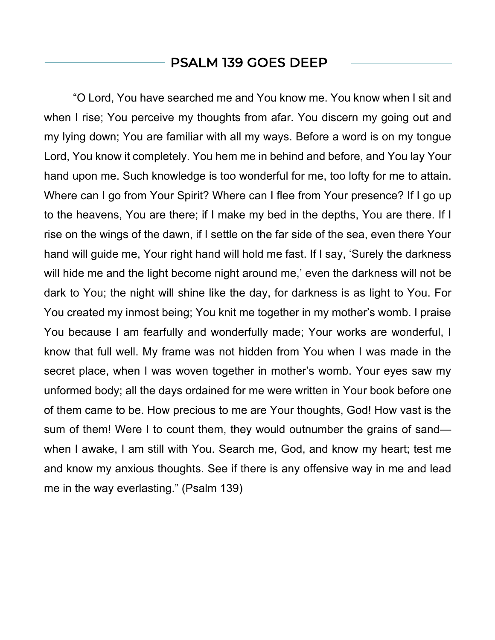#### PSALM 139 GOES DEEP

"O Lord, You have searched me and You know me. You know when I sit and when I rise; You perceive my thoughts from afar. You discern my going out and my lying down; You are familiar with all my ways. Before a word is on my tongue Lord, You know it completely. You hem me in behind and before, and You lay Your hand upon me. Such knowledge is too wonderful for me, too lofty for me to attain. Where can I go from Your Spirit? Where can I flee from Your presence? If I go up to the heavens, You are there; if I make my bed in the depths, You are there. If I rise on the wings of the dawn, if I settle on the far side of the sea, even there Your hand will guide me, Your right hand will hold me fast. If I say, 'Surely the darkness will hide me and the light become night around me,' even the darkness will not be dark to You; the night will shine like the day, for darkness is as light to You. For You created my inmost being; You knit me together in my mother's womb. I praise You because I am fearfully and wonderfully made; Your works are wonderful, I know that full well. My frame was not hidden from You when I was made in the secret place, when I was woven together in mother's womb. Your eyes saw my unformed body; all the days ordained for me were written in Your book before one of them came to be. How precious to me are Your thoughts, God! How vast is the sum of them! Were I to count them, they would outnumber the grains of sand when I awake, I am still with You. Search me, God, and know my heart; test me and know my anxious thoughts. See if there is any offensive way in me and lead me in the way everlasting." (Psalm 139)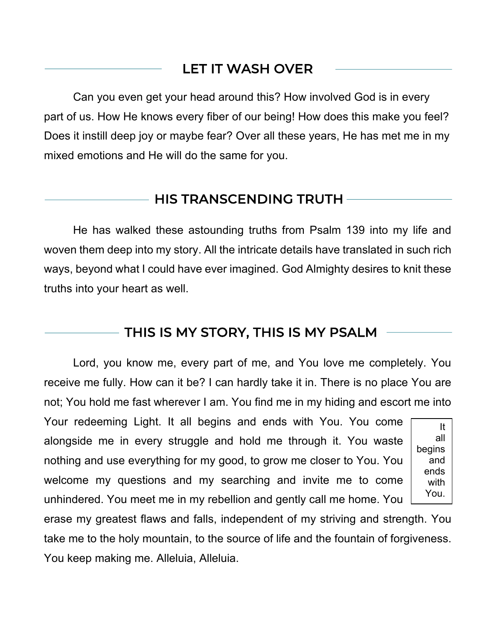# LET IT WASH OVER

Can you even get your head around this? How involved God is in every part of us. How He knows every fiber of our being! How does this make you feel? Does it instill deep joy or maybe fear? Over all these years, He has met me in my mixed emotions and He will do the same for you.

#### HIS TRANSCENDING TRUTH

 $\overline{a}$ 

He has walked these astounding truths from Psalm 139 into my life and woven them deep into my story. All the intricate details have translated in such rich ways, beyond what I could have ever imagined. God Almighty desires to knit these truths into your heart as well.

#### THIS IS MY STORY, THIS IS MY PSALM

Lord, you know me, every part of me, and You love me completely. You receive me fully. How can it be? I can hardly take it in. There is no place You are not; You hold me fast wherever I am. You find me in my hiding and escort me into

Your redeeming Light. It all begins and ends with You. You come alongside me in every struggle and hold me through it. You waste nothing and use everything for my good, to grow me closer to You. You welcome my questions and my searching and invite me to come unhindered. You meet me in my rebellion and gently call me home. You

It all begins and ends with You.

erase my greatest flaws and falls, independent of my striving and strength. You take me to the holy mountain, to the source of life and the fountain of forgiveness. You keep making me. Alleluia, Alleluia.